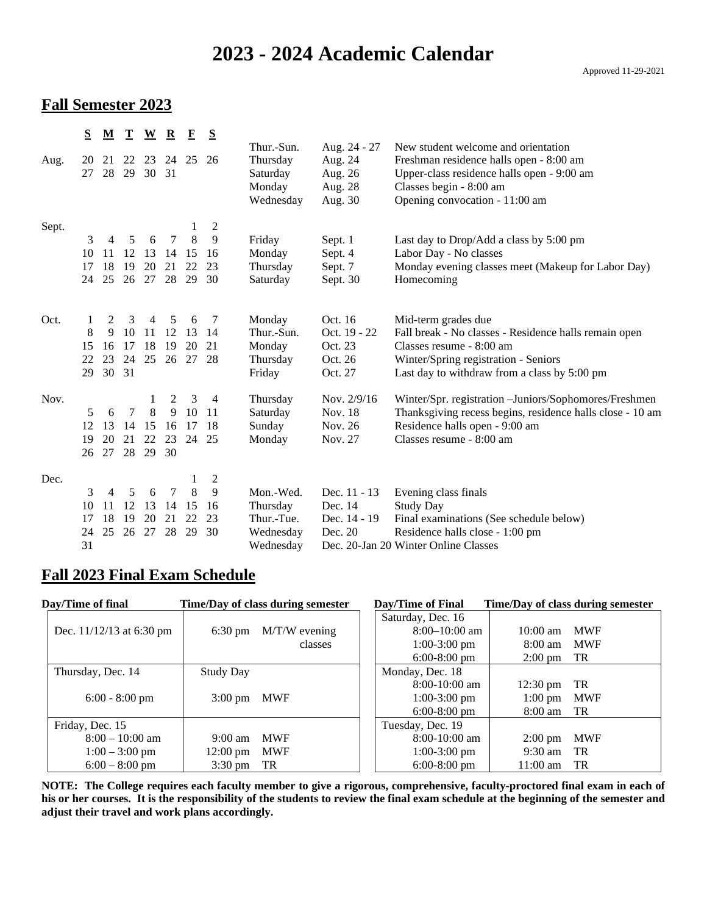# **2023 - 2024 Academic Calendar**

#### **Fall Semester 2023**

|       | $S_{\rm}$ | $\underline{\mathbf{M}}$ | $\mathbf{T}$ | $\underline{\mathbf{W}}$ | $\mathbf{\underline{R}}$ | $\mathbf F$ | S                       |                      |                    |                                                                                       |
|-------|-----------|--------------------------|--------------|--------------------------|--------------------------|-------------|-------------------------|----------------------|--------------------|---------------------------------------------------------------------------------------|
|       | 20        | 21                       |              |                          |                          |             | 26                      | Thur.-Sun.           | Aug. 24 - 27       | New student welcome and orientation                                                   |
| Aug.  | 27        | 28                       | 22<br>29     | 23<br>30                 | 31                       | 24 25       |                         | Thursday<br>Saturday | Aug. 24<br>Aug. 26 | Freshman residence halls open - 8:00 am<br>Upper-class residence halls open - 9:00 am |
|       |           |                          |              |                          |                          |             |                         | Monday               | Aug. 28            | Classes begin - 8:00 am                                                               |
|       |           |                          |              |                          |                          |             |                         | Wednesday            | Aug. 30            | Opening convocation - 11:00 am                                                        |
|       |           |                          |              |                          |                          |             |                         |                      |                    |                                                                                       |
| Sept. |           |                          |              |                          |                          | 1           | $\overline{c}$          |                      |                    |                                                                                       |
|       | 3         | $\overline{4}$           | 5            | 6                        | 7                        | 8           | 9                       | Friday               | Sept. 1            | Last day to Drop/Add a class by 5:00 pm                                               |
|       | 10        | 11                       | 12           | 13                       | 14                       | 15          | 16                      | Monday               | Sept. 4            | Labor Day - No classes                                                                |
|       | 17        | 18                       | 19           | 20                       | 21                       | 22          | 23                      | Thursday             | Sept. 7            | Monday evening classes meet (Makeup for Labor Day)                                    |
|       | 24        | 25                       | 26           | 27                       | 28                       | 29          | 30                      | Saturday             | Sept. 30           | Homecoming                                                                            |
|       |           |                          |              |                          |                          |             |                         |                      |                    |                                                                                       |
| Oct.  |           | 2                        | 3            | 4                        | 5                        | 6           | 7                       | Monday               | Oct. 16            | Mid-term grades due                                                                   |
|       | 8         | 9                        | 10           | 11                       | 12                       | 13          | 14                      | Thur.-Sun.           | Oct. 19 - 22       | Fall break - No classes - Residence halls remain open                                 |
|       | 15        | 16                       | 17           | 18                       | 19                       | 20          | 21                      | Monday               | Oct. 23            | Classes resume - 8:00 am                                                              |
|       | 22        | 23                       | 24           | 25                       | 26                       | 27          | -28                     | Thursday             | Oct. 26            | Winter/Spring registration - Seniors                                                  |
|       | 29        | 30 31                    |              |                          |                          |             |                         | Friday               | Oct. 27            | Last day to withdraw from a class by 5:00 pm                                          |
| Nov.  |           |                          |              | 1                        | 2                        | 3           | 4                       | Thursday             | Nov. 2/9/16        | Winter/Spr. registration - Juniors/Sophomores/Freshmen                                |
|       | 5         | 6                        | $\tau$       | 8                        | 9                        | 10          | 11                      | Saturday             | Nov. 18            | Thanksgiving recess begins, residence halls close - 10 am                             |
|       | 12        | 13                       | 14           | 15                       | 16                       | 17          | 18                      | Sunday               | Nov. 26            | Residence halls open - 9:00 am                                                        |
|       | 19        | 20                       | 21           | 22                       | 23                       | 24          | 25                      | Monday               | Nov. 27            | Classes resume - 8:00 am                                                              |
|       | 26        | 27                       |              | 28 29                    | 30                       |             |                         |                      |                    |                                                                                       |
|       |           |                          |              |                          |                          |             |                         |                      |                    |                                                                                       |
| Dec.  |           |                          |              |                          |                          | 1           | $\overline{\mathbf{c}}$ |                      |                    |                                                                                       |
|       | 3         | $\overline{4}$           | 5            | 6                        | 7                        | 8           | 9                       | Mon.-Wed.            | Dec. 11 - 13       | Evening class finals                                                                  |
|       | 10        | 11                       | 12           | 13                       | 14                       | 15          | 16                      | Thursday             | Dec. 14            | <b>Study Day</b>                                                                      |
|       | 17        | 18                       | 19           | 20                       | 21                       | 22          | 23                      | Thur.-Tue.           | Dec. 14 - 19       | Final examinations (See schedule below)                                               |
|       | 24        | 25                       | 26           | 27                       | 28                       | 29          | 30                      | Wednesday            | Dec. 20            | Residence halls close - 1:00 pm                                                       |
|       | 31        |                          |              |                          |                          |             |                         | Wednesday            |                    | Dec. 20-Jan 20 Winter Online Classes                                                  |

### **Fall 2023 Final Exam Schedule**

| Day/Time of final          |                      | Time/Day of class during semester | Day/Time of Final |                    | Time/Day of class during semester |
|----------------------------|----------------------|-----------------------------------|-------------------|--------------------|-----------------------------------|
|                            |                      |                                   | Saturday, Dec. 16 |                    |                                   |
| Dec. $11/12/13$ at 6:30 pm | $6:30 \text{ pm}$    | $M/T/W$ evening                   | $8:00-10:00$ am   | $10:00 \text{ am}$ | <b>MWF</b>                        |
|                            |                      | classes                           | $1:00-3:00$ pm    | $8:00$ am          | <b>MWF</b>                        |
|                            |                      |                                   | $6:00-8:00$ pm    | $2:00 \text{ pm}$  | TR                                |
| Thursday, Dec. 14          | <b>Study Day</b>     |                                   | Monday, Dec. 18   |                    |                                   |
|                            |                      |                                   | $8:00-10:00$ am   | $12:30 \text{ pm}$ | TR                                |
| $6:00 - 8:00$ pm           | $3:00 \text{ pm}$    | <b>MWF</b>                        | $1:00-3:00$ pm    | $1:00 \text{ pm}$  | <b>MWF</b>                        |
|                            |                      |                                   | $6:00-8:00$ pm    | 8:00 am            | TR                                |
| Friday, Dec. 15            |                      |                                   | Tuesday, Dec. 19  |                    |                                   |
| $8:00 - 10:00$ am          | $9:00 \text{ am}$    | <b>MWF</b>                        | $8:00-10:00$ am   | $2:00 \text{ pm}$  | <b>MWF</b>                        |
| $1:00 - 3:00$ pm           | $12:00 \text{ pm}$   | <b>MWF</b>                        | $1:00-3:00$ pm    | $9:30$ am          | TR                                |
| $6:00 - 8:00$ pm           | $3:30 \text{ pm}$ TR |                                   | $6:00-8:00$ pm    | $11:00$ am         | TR                                |

**NOTE: The College requires each faculty member to give a rigorous, comprehensive, faculty-proctored final exam in each of his or her courses. It is the responsibility of the students to review the final exam schedule at the beginning of the semester and adjust their travel and work plans accordingly.**